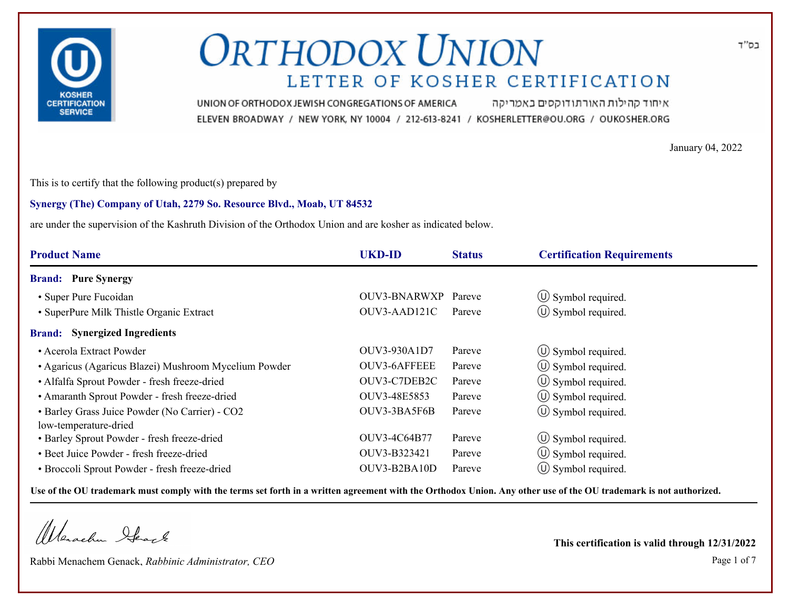

איחוד קהילות האורתודוקסים באמריקה UNION OF ORTHODOX JEWISH CONGREGATIONS OF AMERICA ELEVEN BROADWAY / NEW YORK, NY 10004 / 212-613-8241 / KOSHERLETTER@OU.ORG / OUKOSHER.ORG

January 04, 2022

This is to certify that the following product(s) prepared by

### **Synergy (The) Company of Utah, 2279 So. Resource Blvd., Moab, UT 84532**

are under the supervision of the Kashruth Division of the Orthodox Union and are kosher as indicated below.

| <b>Product Name</b>                                   | <b>UKD-ID</b> | <b>Status</b> | <b>Certification Requirements</b> |
|-------------------------------------------------------|---------------|---------------|-----------------------------------|
| <b>Brand:</b> Pure Synergy                            |               |               |                                   |
| • Super Pure Fucoidan                                 | OUV3-BNARWXP  | Pareve        | $\circ$ Symbol required.          |
| • SuperPure Milk Thistle Organic Extract              | OUV3-AAD121C  | Pareve        | $\circled{1}$ Symbol required.    |
| <b>Brand:</b> Synergized Ingredients                  |               |               |                                   |
| • Acerola Extract Powder                              | OUV3-930A1D7  | Pareve        | $\circ$ Symbol required.          |
| • Agaricus (Agaricus Blazei) Mushroom Mycelium Powder | OUV3-6AFFEEE  | Pareve        | $\circ$ Symbol required.          |
| • Alfalfa Sprout Powder - fresh freeze-dried          | OUV3-C7DEB2C  | Pareve        | $\circ$ Symbol required.          |
| • Amaranth Sprout Powder - fresh freeze-dried         | OUV3-48E5853  | Pareve        | $\circ$ Symbol required.          |
| · Barley Grass Juice Powder (No Carrier) - CO2        | OUV3-3BA5F6B  | Pareve        | $\circ$ Symbol required.          |
| low-temperature-dried                                 |               |               |                                   |
| • Barley Sprout Powder - fresh freeze-dried           | OUV3-4C64B77  | Pareve        | $\circled{1}$ Symbol required.    |
| • Beet Juice Powder - fresh freeze-dried              | OUV3-B323421  | Pareve        | $\circled{1}$ Symbol required.    |
| • Broccoli Sprout Powder - fresh freeze-dried         | OUV3-B2BA10D  | Pareve        | (U) Symbol required.              |

**Use of the OU trademark must comply with the terms set forth in a written agreement with the Orthodox Union. Any other use of the OU trademark is not authorized.**

Werschn Stack

Rabbi Menachem Genack, *Rabbinic Administrator, CEO* Page 1 of 7

**This certification is valid through 12/31/2022**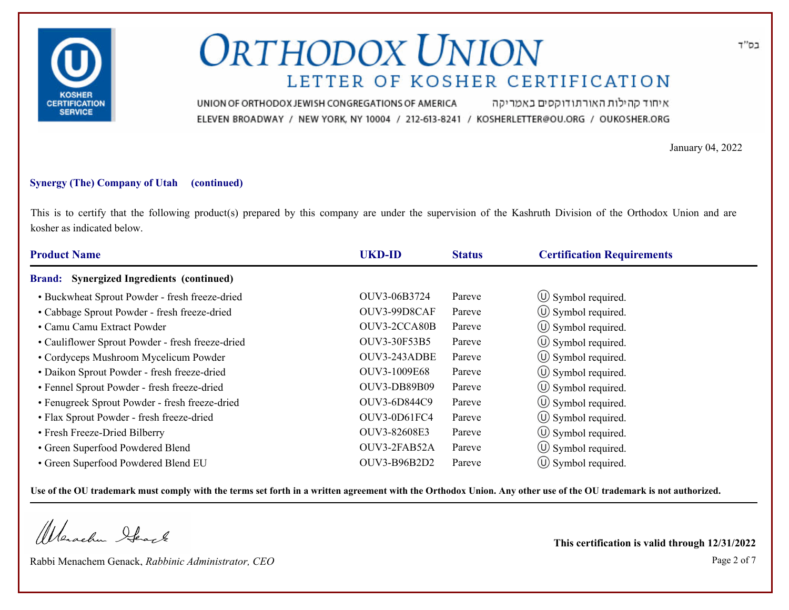

איחוד קהילות האורתודוקסים באמריקה UNION OF ORTHODOX JEWISH CONGREGATIONS OF AMERICA ELEVEN BROADWAY / NEW YORK, NY 10004 / 212-613-8241 / KOSHERLETTER@OU.ORG / OUKOSHER.ORG

January 04, 2022

#### **Synergy (The) Company of Utah (continued)**

This is to certify that the following product(s) prepared by this company are under the supervision of the Kashruth Division of the Orthodox Union and are kosher as indicated below.

| <b>Product Name</b>                                        | <b>UKD-ID</b> | <b>Status</b> | <b>Certification Requirements</b> |  |
|------------------------------------------------------------|---------------|---------------|-----------------------------------|--|
| <b>Synergized Ingredients (continued)</b><br><b>Brand:</b> |               |               |                                   |  |
| • Buckwheat Sprout Powder - fresh freeze-dried             | OUV3-06B3724  | Pareve        | $\circ$ Symbol required.          |  |
| • Cabbage Sprout Powder - fresh freeze-dried               | OUV3-99D8CAF  | Pareve        | $\circ$ Symbol required.          |  |
| • Camu Camu Extract Powder                                 | OUV3-2CCA80B  | Pareve        | $\circled{1}$ Symbol required.    |  |
| • Cauliflower Sprout Powder - fresh freeze-dried           | OUV3-30F53B5  | Pareve        | $\circ$ Symbol required.          |  |
| • Cordyceps Mushroom Mycelicum Powder                      | OUV3-243ADBE  | Pareve        | $\circ$ Symbol required.          |  |
| · Daikon Sprout Powder - fresh freeze-dried                | OUV3-1009E68  | Pareve        | $(\cup)$ Symbol required.         |  |
| • Fennel Sprout Powder - fresh freeze-dried                | OUV3-DB89B09  | Pareve        | $\circ$ Symbol required.          |  |
| • Fenugreek Sprout Powder - fresh freeze-dried             | OUV3-6D844C9  | Pareve        | $\circ$ Symbol required.          |  |
| • Flax Sprout Powder - fresh freeze-dried                  | OUV3-0D61FC4  | Pareve        | $\circled{1}$ Symbol required.    |  |
| • Fresh Freeze-Dried Bilberry                              | OUV3-82608E3  | Pareve        | $\circ$ Symbol required.          |  |
| • Green Superfood Powdered Blend                           | OUV3-2FAB52A  | Pareve        | $\circled{1}$ Symbol required.    |  |
| • Green Superfood Powdered Blend EU                        | OUV3-B96B2D2  | Pareve        | $\circ$ Symbol required.          |  |

**Use of the OU trademark must comply with the terms set forth in a written agreement with the Orthodox Union. Any other use of the OU trademark is not authorized.**

Werachen Stack

Rabbi Menachem Genack, *Rabbinic Administrator, CEO* Page 2 of 7

**This certification is valid through 12/31/2022**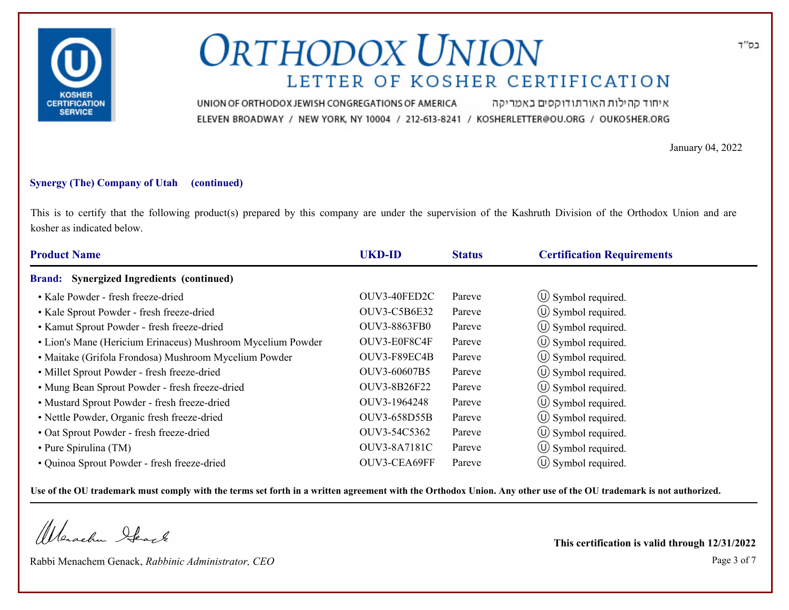

איחוד קהילות האורתודוקסים באמריקה UNION OF ORTHODOX JEWISH CONGREGATIONS OF AMERICA ELEVEN BROADWAY / NEW YORK, NY 10004 / 212-613-8241 / KOSHERLETTER@OU.ORG / OUKOSHER.ORG

January 04, 2022

#### **Synergy (The) Company of Utah (continued)**

This is to certify that the following product(s) prepared by this company are under the supervision of the Kashruth Division of the Orthodox Union and are kosher as indicated below.

| <b>Product Name</b>                                         | <b>UKD-ID</b>       | <b>Status</b> | <b>Certification Requirements</b> |
|-------------------------------------------------------------|---------------------|---------------|-----------------------------------|
| <b>Synergized Ingredients (continued)</b><br><b>Brand:</b>  |                     |               |                                   |
| • Kale Powder - fresh freeze-dried                          | OUV3-40FED2C        | Pareve        | $\circ$ Symbol required.          |
| • Kale Sprout Powder - fresh freeze-dried                   | OUV3-C5B6E32        | Pareve        | $\circ$ Symbol required.          |
| • Kamut Sprout Powder - fresh freeze-dried                  | <b>OUV3-8863FB0</b> | Pareve        | $\circled{1}$ Symbol required.    |
| • Lion's Mane (Hericium Erinaceus) Mushroom Mycelium Powder | OUV3-E0F8C4F        | Pareve        | $\circ$ Symbol required.          |
| • Maitake (Grifola Frondosa) Mushroom Mycelium Powder       | OUV3-F89EC4B        | Pareve        | $\circ$ Symbol required.          |
| • Millet Sprout Powder - fresh freeze-dried                 | OUV3-60607B5        | Pareve        | $\circ$ Symbol required.          |
| • Mung Bean Sprout Powder - fresh freeze-dried              | OUV3-8B26F22        | Pareve        | $\circ$ Symbol required.          |
| • Mustard Sprout Powder - fresh freeze-dried                | OUV3-1964248        | Pareve        | $\circ$ Symbol required.          |
| • Nettle Powder, Organic fresh freeze-dried                 | OUV3-658D55B        | Pareve        | $\circled{1}$ Symbol required.    |
| • Oat Sprout Powder - fresh freeze-dried                    | OUV3-54C5362        | Pareve        | $\circ$ Symbol required.          |
| • Pure Spirulina (TM)                                       | OUV3-8A7181C        | Pareve        | $\circ$ Symbol required.          |
| · Quinoa Sprout Powder - fresh freeze-dried                 | OUV3-CEA69FF        | Pareve        | $\circ$ Symbol required.          |

**Use of the OU trademark must comply with the terms set forth in a written agreement with the Orthodox Union. Any other use of the OU trademark is not authorized.**

Werachen Stack

Rabbi Menachem Genack, *Rabbinic Administrator, CEO* Page 3 of 7

**This certification is valid through 12/31/2022**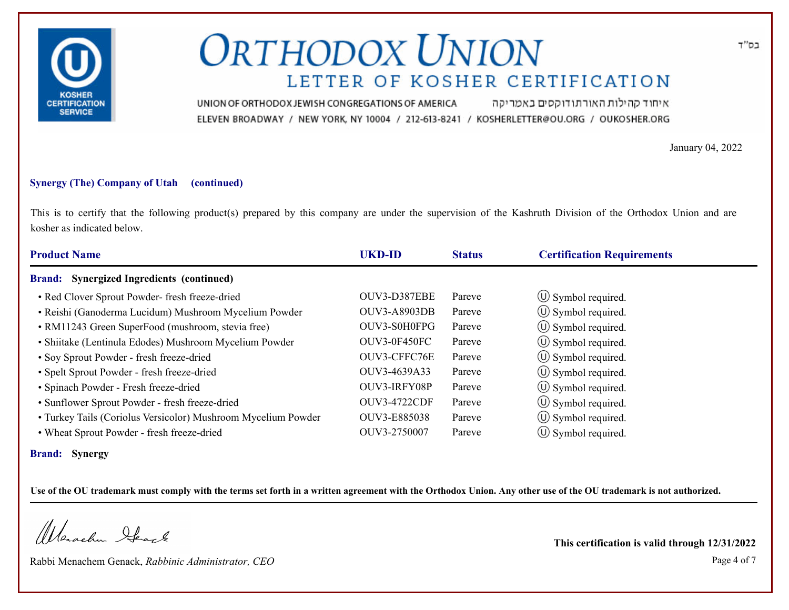

איחוד קהילות האורתודוקסים באמריקה UNION OF ORTHODOX JEWISH CONGREGATIONS OF AMERICA ELEVEN BROADWAY / NEW YORK, NY 10004 / 212-613-8241 / KOSHERLETTER@OU.ORG / OUKOSHER.ORG

January 04, 2022

#### **Synergy (The) Company of Utah (continued)**

This is to certify that the following product(s) prepared by this company are under the supervision of the Kashruth Division of the Orthodox Union and are kosher as indicated below.

| <b>UKD-ID</b>       | <b>Status</b> | <b>Certification Requirements</b> |
|---------------------|---------------|-----------------------------------|
|                     |               |                                   |
| OUV3-D387EBE        | Pareve        | $\circ$ Symbol required.          |
| <b>OUV3-A8903DB</b> | Pareve        | $\circ$ Symbol required.          |
| OUV3-S0H0FPG        | Pareve        | $\circled{1}$ Symbol required.    |
| <b>OUV3-0F450FC</b> | Pareve        | $\circled{1}$ Symbol required.    |
| OUV3-CFFC76E        | Pareve        | $\circled{1}$ Symbol required.    |
| OUV3-4639A33        | Pareve        | $\circ$ Symbol required.          |
| OUV3-IRFY08P        | Pareve        | $\circ$ Symbol required.          |
| <b>OUV3-4722CDF</b> | Pareve        | $\circ$ Symbol required.          |
| OUV3-E885038        | Pareve        | $\circled{1}$ Symbol required.    |
| OUV3-2750007        | Pareve        | $\circ$ Symbol required.          |
|                     |               |                                   |

**Brand: Synergy**

**Use of the OU trademark must comply with the terms set forth in a written agreement with the Orthodox Union. Any other use of the OU trademark is not authorized.**

Werachen Stack

Rabbi Menachem Genack, *Rabbinic Administrator, CEO* Page 4 of 7

**This certification is valid through 12/31/2022**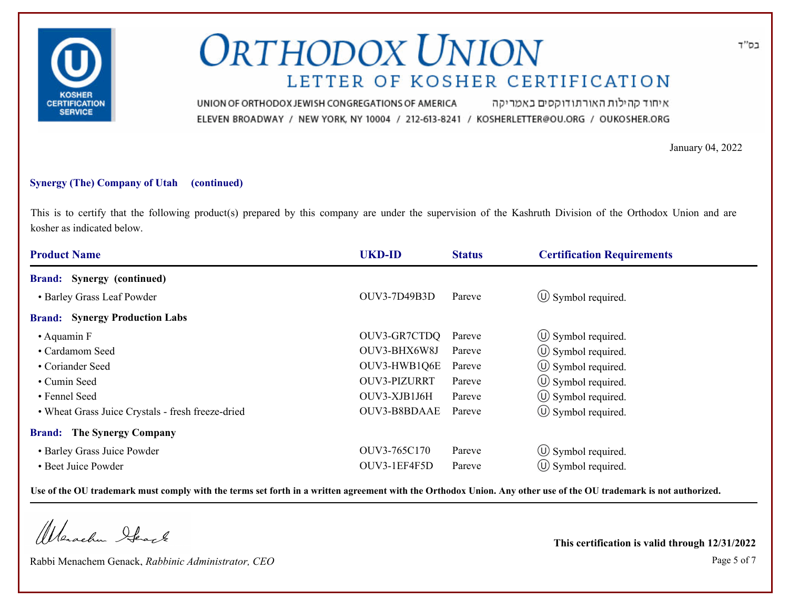

איחוד קהילות האורתודוקסים באמריקה UNION OF ORTHODOX JEWISH CONGREGATIONS OF AMERICA ELEVEN BROADWAY / NEW YORK, NY 10004 / 212-613-8241 / KOSHERLETTER@OU.ORG / OUKOSHER.ORG

January 04, 2022

#### **Synergy (The) Company of Utah (continued)**

This is to certify that the following product(s) prepared by this company are under the supervision of the Kashruth Division of the Orthodox Union and are kosher as indicated below.

| <b>Product Name</b>                               | <b>UKD-ID</b> | <b>Status</b> | <b>Certification Requirements</b> |  |
|---------------------------------------------------|---------------|---------------|-----------------------------------|--|
| <b>Brand:</b> Synergy (continued)                 |               |               |                                   |  |
| • Barley Grass Leaf Powder                        | OUV3-7D49B3D  | Pareve        | $\circ$ Symbol required.          |  |
| <b>Brand:</b> Synergy Production Labs             |               |               |                                   |  |
| $\bullet$ Aquamin F                               | OUV3-GR7CTDQ  | Pareve        | $\circ$ Symbol required.          |  |
| • Cardamom Seed                                   | OUV3-BHX6W8J  | Pareve        | $\circled{1}$ Symbol required.    |  |
| • Coriander Seed                                  | OUV3-HWB1Q6E  | Pareve        | $\circ$ Symbol required.          |  |
| • Cumin Seed                                      | OUV3-PIZURRT  | Pareve        | $\circ$ Symbol required.          |  |
| • Fennel Seed                                     | OUV3-XJB1J6H  | Pareve        | $\circ$ Symbol required.          |  |
| • Wheat Grass Juice Crystals - fresh freeze-dried | OUV3-B8BDAAE  | Pareve        | $\circ$ Symbol required.          |  |
| <b>Brand:</b> The Synergy Company                 |               |               |                                   |  |
| • Barley Grass Juice Powder                       | OUV3-765C170  | Pareve        | $\circ$ Symbol required.          |  |
| • Beet Juice Powder                               | OUV3-1EF4F5D  | Pareve        | $(\cup)$ Symbol required.         |  |

**Use of the OU trademark must comply with the terms set forth in a written agreement with the Orthodox Union. Any other use of the OU trademark is not authorized.**

Werachen Stack

Rabbi Menachem Genack, *Rabbinic Administrator, CEO* Page 5 of 7

**This certification is valid through 12/31/2022**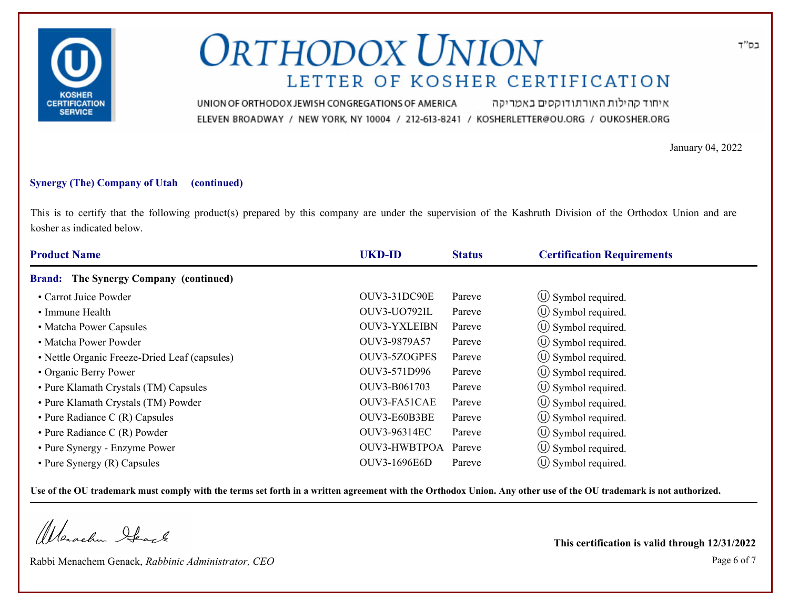

איחוד קהילות האורתודוקסים באמריקה UNION OF ORTHODOX JEWISH CONGREGATIONS OF AMERICA ELEVEN BROADWAY / NEW YORK, NY 10004 / 212-613-8241 / KOSHERLETTER@OU.ORG / OUKOSHER.ORG

January 04, 2022

#### **Synergy (The) Company of Utah (continued)**

This is to certify that the following product(s) prepared by this company are under the supervision of the Kashruth Division of the Orthodox Union and are kosher as indicated below.

| <b>Product Name</b>                           | <b>UKD-ID</b>       | <b>Status</b> | <b>Certification Requirements</b> |  |
|-----------------------------------------------|---------------------|---------------|-----------------------------------|--|
| <b>Brand:</b> The Synergy Company (continued) |                     |               |                                   |  |
| • Carrot Juice Powder                         | OUV3-31DC90E        | Pareve        | $\circ$ Symbol required.          |  |
| • Immune Health                               | OUV3-UO792IL        | Pareve        | $\circled{1}$ Symbol required.    |  |
| • Matcha Power Capsules                       | <b>OUV3-YXLEIBN</b> | Pareve        | $\circled{1}$ Symbol required.    |  |
| • Matcha Power Powder                         | OUV3-9879A57        | Pareve        | $\circ$ Symbol required.          |  |
| • Nettle Organic Freeze-Dried Leaf (capsules) | <b>OUV3-5ZOGPES</b> | Pareve        | $\circ$ Symbol required.          |  |
| • Organic Berry Power                         | OUV3-571D996        | Pareve        | $\circ$ Symbol required.          |  |
| • Pure Klamath Crystals (TM) Capsules         | OUV3-B061703        | Pareve        | $\circ$ Symbol required.          |  |
| • Pure Klamath Crystals (TM) Powder           | OUV3-FA51CAE        | Pareve        | (U) Symbol required.              |  |
| $\cdot$ Pure Radiance C (R) Capsules          | OUV3-E60B3BE        | Pareve        | $\circ$ Symbol required.          |  |
| $\bullet$ Pure Radiance C (R) Powder          | OUV3-96314EC        | Pareve        | $\circ$ Symbol required.          |  |
| • Pure Synergy - Enzyme Power                 | OUV3-HWBTPOA        | Pareve        | $\circ$ Symbol required.          |  |
| • Pure Synergy $(R)$ Capsules                 | OUV3-1696E6D        | Pareve        | $\circ$ Symbol required.          |  |

**Use of the OU trademark must comply with the terms set forth in a written agreement with the Orthodox Union. Any other use of the OU trademark is not authorized.**

Werachen Stack

Rabbi Menachem Genack, *Rabbinic Administrator, CEO* Page 6 of 7

**This certification is valid through 12/31/2022**